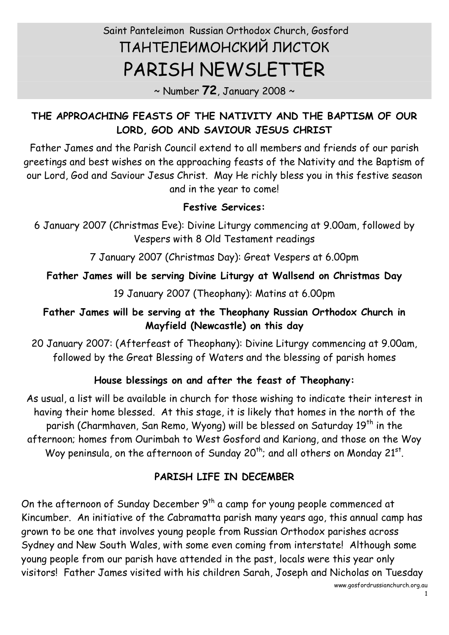# Saint Panteleimon Russian Orthodox Church, Gosford ПАНТЕЛЕИМОНСКИЙ ЛИСТОК PARISH NEWSLETTER

~ Number **72**, January 2008 ~

#### **THE APPROACHING FEASTS OF THE NATIVITY AND THE BAPTISM OF OUR LORD, GOD AND SAVIOUR JESUS CHRIST**

Father James and the Parish Council extend to all members and friends of our parish greetings and best wishes on the approaching feasts of the Nativity and the Baptism of our Lord, God and Saviour Jesus Christ. May He richly bless you in this festive season and in the year to come!

#### **Festive Services:**

6 January 2007 (Christmas Eve): Divine Liturgy commencing at 9.00am, followed by Vespers with 8 Old Testament readings

7 January 2007 (Christmas Day): Great Vespers at 6.00pm

### **Father James will be serving Divine Liturgy at Wallsend on Christmas Day**

19 January 2007 (Theophany): Matins at 6.00pm

#### **Father James will be serving at the Theophany Russian Orthodox Church in Mayfield (Newcastle) on this day**

20 January 2007: (Afterfeast of Theophany): Divine Liturgy commencing at 9.00am, followed by the Great Blessing of Waters and the blessing of parish homes

#### **House blessings on and after the feast of Theophany:**

As usual, a list will be available in church for those wishing to indicate their interest in having their home blessed. At this stage, it is likely that homes in the north of the parish (Charmhaven, San Remo, Wyong) will be blessed on Saturday 19<sup>th</sup> in the afternoon; homes from Ourimbah to West Gosford and Kariong, and those on the Woy Woy peninsula, on the afternoon of Sunday 20<sup>th</sup>; and all others on Monday 21st.

## **PARISH LIFE IN DECEMBER**

On the afternoon of Sunday December  $9<sup>th</sup>$  a camp for young people commenced at Kincumber. An initiative of the Cabramatta parish many years ago, this annual camp has grown to be one that involves young people from Russian Orthodox parishes across Sydney and New South Wales, with some even coming from interstate! Although some young people from our parish have attended in the past, locals were this year only visitors! Father James visited with his children Sarah, Joseph and Nicholas on Tuesday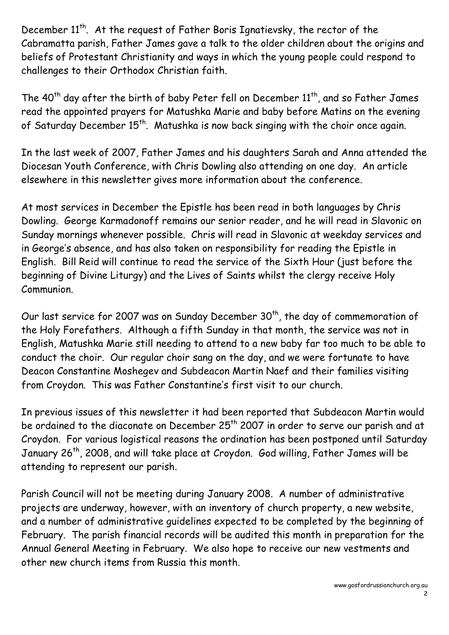December 11<sup>th</sup>. At the request of Father Boris Ignatievsky, the rector of the Cabramatta parish, Father James gave a talk to the older children about the origins and beliefs of Protestant Christianity and ways in which the young people could respond to challenges to their Orthodox Christian faith.

The  $40^{\text{th}}$  day after the birth of baby Peter fell on December  $11^{\text{th}}$ , and so Father James read the appointed prayers for Matushka Marie and baby before Matins on the evening of Saturday December 15<sup>th</sup>. Matushka is now back singing with the choir once again.

In the last week of 2007, Father James and his daughters Sarah and Anna attended the Diocesan Youth Conference, with Chris Dowling also attending on one day. An article elsewhere in this newsletter gives more information about the conference.

At most services in December the Epistle has been read in both languages by Chris Dowling. George Karmadonoff remains our senior reader, and he will read in Slavonic on Sunday mornings whenever possible. Chris will read in Slavonic at weekday services and in George's absence, and has also taken on responsibility for reading the Epistle in English. Bill Reid will continue to read the service of the Sixth Hour (just before the beginning of Divine Liturgy) and the Lives of Saints whilst the clergy receive Holy Communion.

Our last service for 2007 was on Sunday December  $30<sup>th</sup>$ , the day of commemoration of the Holy Forefathers. Although a fifth Sunday in that month, the service was not in English, Matushka Marie still needing to attend to a new baby far too much to be able to conduct the choir. Our regular choir sang on the day, and we were fortunate to have Deacon Constantine Moshegev and Subdeacon Martin Naef and their families visiting from Croydon. This was Father Constantine's first visit to our church.

In previous issues of this newsletter it had been reported that Subdeacon Martin would be ordained to the diaconate on December 25<sup>th</sup> 2007 in order to serve our parish and at Croydon. For various logistical reasons the ordination has been postponed until Saturday January 26<sup>th</sup>, 2008, and will take place at Croydon. God willing, Father James will be attending to represent our parish.

Parish Council will not be meeting during January 2008. A number of administrative projects are underway, however, with an inventory of church property, a new website,<br>and a number of administrative guidelines expected to be completed by the beginning of February. The parish financial records will be audited this month in preparation for the Annual General Meeting in February. We also hope to receive our new vestments and other new church items from Russia this month.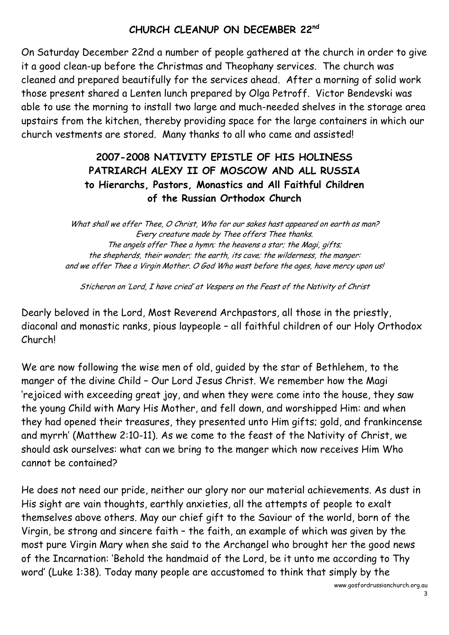#### **CHURCH CLEANUP ON DECEMBER 22 nd**

On Saturday December 22nd a number of people gathered at the church in order to give it a good clean-up before the Christmas and Theophany services. The church was cleaned and prepared beautifully for the services ahead. After a morning of solid work those present shared a Lenten lunch prepared by Olga Petroff. Victor Bendevski was able to use the morning to install two large and much-needed shelves in the storage area upstairs from the kitchen, thereby providing space for the large containers in which our church vestments are stored. Many thanks to all who came and assisted!

#### **2007-2008 NATIVITY EPISTLE OF HIS HOLINESS PATRIARCH ALEXY II OF MOSCOW AND ALL RUSSIA to Hierarchs, Pastors, Monastics and All Faithful Children of the Russian Orthodox Church**

What shall we offer Thee, O Christ, Who for our sakes hast appeared on earth as man? Every creature made by Thee offers Thee thanks. The angels offer Thee a hymn; the heavens a star; the Magi, gifts; the shepherds, their wonder; the earth, its cave; the wilderness, the manger: and we offer Thee a Virgin Mother. O God Who wast before the ages, have mercy upon us!

Sticheron on 'Lord, I have cried' at Vespers on the Feast of the Nativity of Christ

Dearly beloved in the Lord, Most Reverend Archpastors, all those in the priestly, diaconal and monastic ranks, pious laypeople – all faithful children of our Holy Orthodox Church!

We are now following the wise men of old, guided by the star of Bethlehem, to the manger of the divine Child – Our Lord Jesus Christ. We remember how the Magi 'rejoiced with exceeding great joy, and when they were come into the house, they saw the young Child with Mary His Mother, and fell down, and worshipped Him: and when they had opened their treasures, they presented unto Him gifts; gold, and frankincense and myrrh' (Matthew 2:10-11). As we come to the feast of the Nativity of Christ, we should ask ourselves: what can we bring to the manger which now receives Him Who cannot be contained?

He does not need our pride, neither our glory nor our material achievements. As dust in His sight are vain thoughts, earthly anxieties, all the attempts of people to exalt themselves above others. May our chief gift to the Saviour of the world, born of the Virgin, be strong and sincere faith – the faith, an example of which was given by the most pure Virgin Mary when she said to the Archangel who brought her the good news of the Incarnation: 'Behold the handmaid of the Lord, be it unto me according to Thy word' (Luke 1:38). Today many people are accustomed to think that simply by the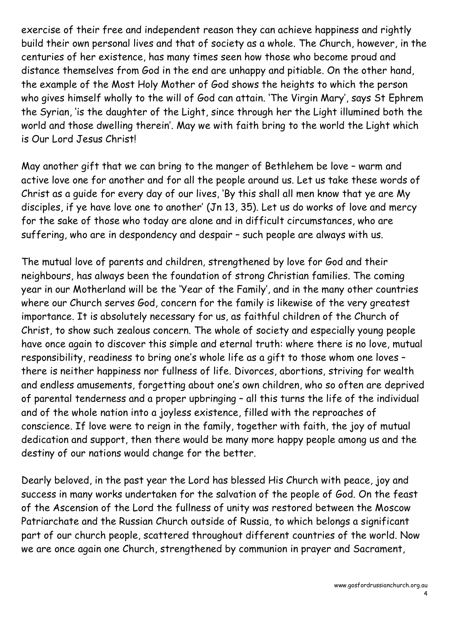exercise of their free and independent reason they can achieve happiness and rightly build their own personal lives and that of society as a whole. The Church, however, in the centuries of her existence, has many times seen how those who become proud and distance themselves from God in the end are unhappy and pitiable. On the other hand, the example of the Most Holy Mother of God shows the heights to which the person who gives himself wholly to the will of God can attain. 'The Virgin Mary', says St Ephrem the Syrian, 'is the daughter of the Light, since through her the Light illumined both the world and those dwelling therein'. May we with faith bring to the world the Light which is Our Lord Jesus Christ!

May another gift that we can bring to the manger of Bethlehem be love – warm and active love one for another and for all the people around us. Let us take these words of Christ as a guide for every day of our lives, 'By this shall all men know that ye are My disciples, if ye have love one to another' (Jn 13, 35). Let us do works of love and mercy for the sake of those who today are alone and in difficult circumstances, who are suffering, who are in despondency and despair – such people are always with us.

The mutual love of parents and children, strengthened by love for God and their neighbours, has always been the foundation of strong Christian families. The coming year in our Motherland will be the 'Year of the Family', and in the many other countries where our Church serves God, concern for the family is likewise of the very greatest importance. It is absolutely necessary for us, as faithful children of the Church of Christ, to show such zealous concern. The whole of society and especially young people have once again to discover this simple and eternal truth: where there is no love, mutual responsibility, readiness to bring one's whole life as a gift to those whom one loves – there is neither happiness nor fullness of life. Divorces, abortions, striving for wealth and endless amusements, forgetting about one's own children, who so often are deprived of parental tenderness and a proper upbringing – all this turns the life of the individual and of the whole nation into a joyless existence, filled with the reproaches of conscience. If love were to reign in the family, together with faith, the joy of mutual dedication and support, then there would be many more happy people among us and the destiny of our nations would change for the better.

Dearly beloved, in the past year the Lord has blessed His Church with peace, joy and success in many works undertaken for the salvation of the people of God. On the feast of the Ascension of the Lord the fullness of unity was restored between the Moscow Patriarchate and the Russian Church outside of Russia, to which belongs a significant part of our church people, scattered throughout different countries of the world. Now we are once again one Church, strengthened by communion in prayer and Sacrament,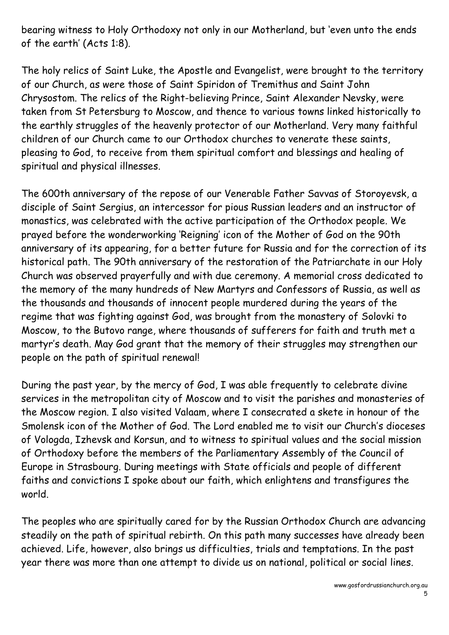bearing witness to Holy Orthodoxy not only in our Motherland, but 'even unto the ends of the earth' (Acts 1:8).

The holy relics of Saint Luke, the Apostle and Evangelist, were brought to the territory of our Church, as were those of Saint Spiridon of Tremithus and Saint John Chrysostom. The relics of the Right-believing Prince, Saint Alexander Nevsky, were taken from St Petersburg to Moscow, and thence to various towns linked historically to the earthly struggles of the heavenly protector of our Motherland. Very many faithful children of our Church came to our Orthodox churches to venerate these saints, pleasing to God, to receive from them spiritual comfort and blessings and healing of spiritual and physical illnesses.

The 600th anniversary of the repose of our Venerable Father Savvas of Storoyevsk, a disciple of Saint Sergius, an intercessor for pious Russian leaders and an instructor of monastics, was celebrated with the active participation of the Orthodox people. We prayed before the wonderworking 'Reigning' icon of the Mother of God on the 90th anniversary of its appearing, for a better future for Russia and for the correction of its historical path. The 90th anniversary of the restoration of the Patriarchate in our Holy Church was observed prayerfully and with due ceremony. A memorial cross dedicated to the memory of the many hundreds of New Martyrs and Confessors of Russia, as well as the thousands and thousands of innocent people murdered during the years of the regime that was fighting against God, was brought from the monastery of Solovki to Moscow, to the Butovo range, where thousands of sufferers for faith and truth met a martyr's death. May God grant that the memory of their struggles may strengthen our people on the path of spiritual renewal!

During the past year, by the mercy of God, I was able frequently to celebrate divine services in the metropolitan city of Moscow and to visit the parishes and monasteries of the Moscow region. I also visited Valaam, where I consecrated a skete in honour of the Smolensk icon of the Mother of God. The Lord enabled me to visit our Church's dioceses of Vologda, Izhevsk and Korsun, and to witness to spiritual values and the social mission of Orthodoxy before the members of the Parliamentary Assembly of the Council of Europe in Strasbourg. During meetings with State officials and people of different faiths and convictions I spoke about our faith, which enlightens and transfigures the world.

The peoples who are spiritually cared for by the Russian Orthodox Church are advancing steadily on the path of spiritual rebirth. On this path many successes have already been achieved. Life, however, also brings us difficulties, trials and temptations. In the past year there was more than one attempt to divide us on national, political or social lines.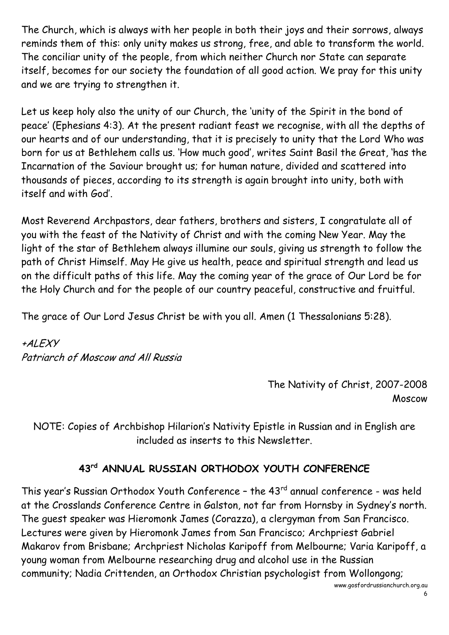The Church, which is always with her people in both their joys and their sorrows, always reminds them of this: only unity makes us strong, free, and able to transform the world. The conciliar unity of the people, from which neither Church nor State can separate itself, becomes for our society the foundation of all good action. We pray for this unity and we are trying to strengthen it.

Let us keep holy also the unity of our Church, the 'unity of the Spirit in the bond of peace' (Ephesians 4:3). At the present radiant feast we recognise, with all the depths of our hearts and of our understanding, that it is precisely to unity that the Lord Who was born for us at Bethlehem calls us. 'How much good', writes Saint Basil the Great, 'has the Incarnation of the Saviour brought us; for human nature, divided and scattered into thousands of pieces, according to its strength is again brought into unity, both with itself and with God'.

Most Reverend Archpastors, dear fathers, brothers and sisters, I congratulate all of you with the feast of the Nativity of Christ and with the coming New Year. May the light of the star of Bethlehem always illumine our souls, giving us strength to follow the path of Christ Himself. May He give us health, peace and spiritual strength and lead us on the difficult paths of this life. May the coming year of the grace of Our Lord be for the Holy Church and for the people of our country peaceful, constructive and fruitful.

The grace of Our Lord Jesus Christ be with you all. Amen (1 Thessalonians 5:28).

+ALEXY Patriarch of Moscow and All Russia

> The Nativity of Christ, 2007-2008 Moscow

NOTE: Copies of Archbishop Hilarion's Nativity Epistle in Russian and in English are included as inserts to this Newsletter.

# **43 rd ANNUAL RUSSIAN ORTHODOX YOUTH CONFERENCE**

This year's Russian Orthodox Youth Conference - the 43<sup>rd</sup> annual conference - was held at the Crosslands Conference Centre in Galston, not far from Hornsby in Sydney's north. The guest speaker was Hieromonk James (Corazza), a clergyman from San Francisco. Lectures were given by Hieromonk James from San Francisco; Archpriest Gabriel Makarov from Brisbane; Archpriest Nicholas Karipoff from Melbourne; Varia Karipoff, a young woman from Melbourne researching drug and alcohol use in the Russian community; Nadia Crittenden, an Orthodox Christian psychologist from Wollongong;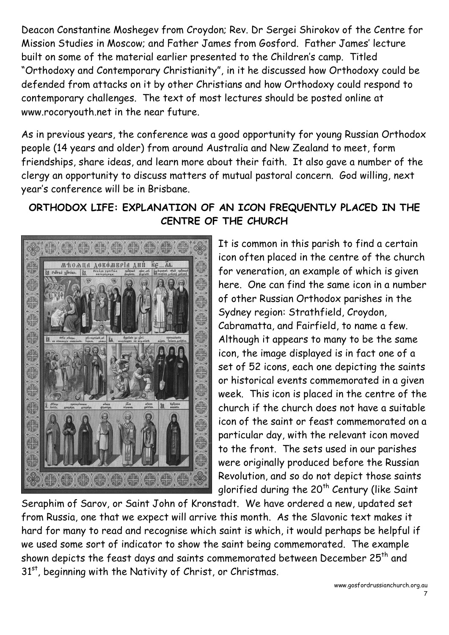Deacon Constantine Moshegev from Croydon; Rev. Dr Sergei Shirokov of the Centre for Mission Studies in Moscow; and Father James from Gosford. Father James' lecture built on some of the material earlier presented to the Children's camp. Titled "Orthodoxy and Contemporary Christianity", in it he discussed how Orthodoxy could be defended from attacks on it by other Christians and how Orthodoxy could respond to contemporary challenges. The text of most lectures should be posted online at www.rocoryouth.net in the near future.

As in previous years, the conference was a good opportunity for young Russian Orthodox people (14 years and older) from around Australia and New Zealand to meet, form friendships, share ideas, and learn more about their faith. It also gave a number of the clergy an opportunity to discuss matters of mutual pastoral concern. God willing, next year's conference will be in Brisbane.

#### **ORTHODOX LIFE: EXPLANATION OF AN ICON FREQUENTLY PLACED IN THE CENTRE OF THE CHURCH**



It is common in this parish to find a certain icon often placed in the centre of the church for veneration, an example of which is given here. One can find the same icon in a number of other Russian Orthodox parishes in the Sydney region: Strathfield, Croydon, Cabramatta, and Fairfield, to name a few. Although it appears to many to be the same icon, the image displayed is in fact one of a set of 52 icons, each one depicting the saints or historical events commemorated in a given week. This icon is placed in the centre of the church if the church does not have a suitable icon of the saint or feast commemorated on a particular day, with the relevant icon moved to the front. The sets used in our parishes were originally produced before the Russian Revolution, and so do not depict those saints glorified during the  $20<sup>th</sup>$  Century (like Saint

Seraphim of Sarov, or Saint John of Kronstadt. We have ordered a new, updated set from Russia, one that we expect will arrive this month. As the Slavonic text makes it hard for many to read and recognise which saint is which, it would perhaps be helpful if we used some sort of indicator to show the saint being commemorated. The example shown depicts the feast days and saints commemorated between December  $25<sup>th</sup>$  and 31st, beginning with the Nativity of Christ, or Christmas.